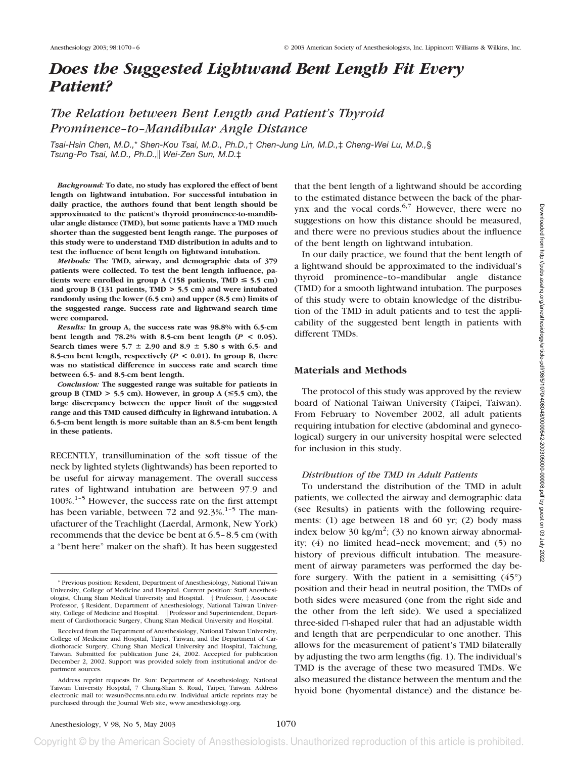# *Does the Suggested Lightwand Bent Length Fit Every Patient?*

# *The Relation between Bent Length and Patient's Thyroid Prominence–to–Mandibular Angle Distance*

*Tsai-Hsin Chen, M.D.,*\* *Shen-Kou Tsai, M.D., Ph.D.,*† *Chen-Jung Lin, M.D.,*‡ *Cheng-Wei Lu, M.D.,*§ *Tsung-Po Tsai, M.D., Ph.D., Wei-Zen Sun, M.D.*‡

*Background:* **To date, no study has explored the effect of bent length on lightwand intubation. For successful intubation in daily practice, the authors found that bent length should be approximated to the patient's thyroid prominence-to-mandibular angle distance (TMD), but some patients have a TMD much shorter than the suggested bent length range. The purposes of this study were to understand TMD distribution in adults and to test the influence of bent length on lightwand intubation.**

*Methods:* **The TMD, airway, and demographic data of 379 patients were collected. To test the bent length influence, pa**tients were enrolled in group A (158 patients,  $TMD \le 5.5$  cm) **and group B (131 patients, TMD > 5.5 cm) and were intubated randomly using the lower (6.5 cm) and upper (8.5 cm) limits of the suggested range. Success rate and lightwand search time were compared.**

*Results:* **In group A, the success rate was 98.8% with 6.5-cm bent length and 78.2% with 8.5-cm bent length (***P* **< 0.05). Search times were 5.7**  $\pm$  2.90 and 8.9  $\pm$  5.80 s with 6.5- and **8.5-cm bent length, respectively (***P* **< 0.01). In group B, there was no statistical difference in success rate and search time between 6.5- and 8.5-cm bent length.**

*Conclusion:* **The suggested range was suitable for patients in group B (TMD**  $>$  **5.5 cm). However, in group A (** $\leq$ **5.5 cm), the large discrepancy between the upper limit of the suggested range and this TMD caused difficulty in lightwand intubation. A 6.5-cm bent length is more suitable than an 8.5-cm bent length in these patients.**

RECENTLY, transillumination of the soft tissue of the neck by lighted stylets (lightwands) has been reported to be useful for airway management. The overall success rates of lightwand intubation are between 97.9 and 100%.1–5 However, the success rate on the first attempt has been variable, between 72 and 92.3%.<sup>1-5</sup> The manufacturer of the Trachlight (Laerdal, Armonk, New York) recommends that the device be bent at 6.5–8.5 cm (with a "bent here" maker on the shaft). It has been suggested

that the bent length of a lightwand should be according to the estimated distance between the back of the pharynx and the vocal cords. $6,7$  However, there were no suggestions on how this distance should be measured, and there were no previous studies about the influence of the bent length on lightwand intubation.

In our daily practice, we found that the bent length of a lightwand should be approximated to the individual's thyroid prominence–to–mandibular angle distance (TMD) for a smooth lightwand intubation. The purposes of this study were to obtain knowledge of the distribution of the TMD in adult patients and to test the applicability of the suggested bent length in patients with different TMDs.

## **Materials and Methods**

The protocol of this study was approved by the review board of National Taiwan University (Taipei, Taiwan). From February to November 2002, all adult patients requiring intubation for elective (abdominal and gynecological) surgery in our university hospital were selected for inclusion in this study.

#### *Distribution of the TMD in Adult Patients*

To understand the distribution of the TMD in adult patients, we collected the airway and demographic data (see Results) in patients with the following requirements: (1) age between 18 and 60 yr; (2) body mass index below 30 kg/m<sup>2</sup>; (3) no known airway abnormality; (4) no limited head–neck movement; and (5) no history of previous difficult intubation. The measurement of airway parameters was performed the day before surgery. With the patient in a semisitting  $(45^{\circ})$ position and their head in neutral position, the TMDs of both sides were measured (one from the right side and the other from the left side). We used a specialized three-sided  $\sqcap$ -shaped ruler that had an adjustable width and length that are perpendicular to one another. This allows for the measurement of patient's TMD bilaterally by adjusting the two arm lengths (fig. 1). The individual's TMD is the average of these two measured TMDs. We also measured the distance between the mentum and the hyoid bone (hyomental distance) and the distance be-

<sup>\*</sup> Previous position: Resident, Department of Anesthesiology, National Taiwan University, College of Medicine and Hospital. Current position: Staff Anesthesiologist, Chung Shan Medical University and Hospital. † Professor, ‡ Associate Professor, § Resident, Department of Anesthesiology, National Taiwan University, College of Medicine and Hospital. | Professor and Superintendent, Department of Cardiothoracic Surgery, Chung Shan Medical University and Hospital.

Received from the Department of Anesthesiology, National Taiwan University, College of Medicine and Hospital, Taipei, Taiwan, and the Department of Cardiothoracic Surgery, Chung Shan Medical University and Hospital, Taichung, Taiwan. Submitted for publication June 24, 2002. Accepted for publication December 2, 2002. Support was provided solely from institutional and/or department sources.

Address reprint requests Dr. Sun: Department of Anesthesiology, National Taiwan University Hospital, 7 Chung-Shan S. Road, Taipei, Taiwan. Address electronic mail to: wzsun@ccms.ntu.edu.tw. Individual article reprints may be purchased through the Journal Web site, www.anesthesiology.org.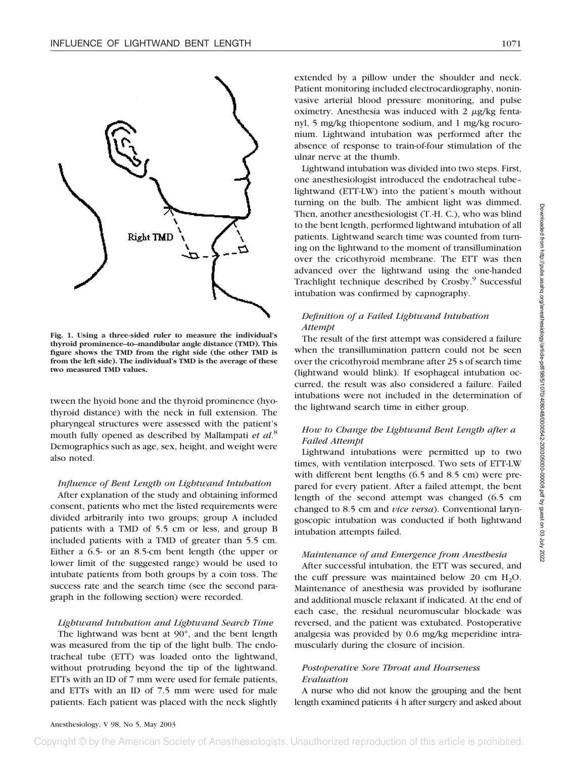

**Fig. 1. Using a three-sided ruler to measure the individual's thyroid prominence–to–mandibular angle distance (TMD). This figure shows the TMD from the right side (the other TMD is from the left side). The individual's TMD is the average of these two measured TMD values.**

tween the hyoid bone and the thyroid prominence (hyothyroid distance) with the neck in full extension. The pharyngeal structures were assessed with the patient's mouth fully opened as described by Mallampati *et al*. 8 Demographics such as age, sex, height, and weight were also noted.

#### *Influence of Bent Length on Lightwand Intubation*

After explanation of the study and obtaining informed consent, patients who met the listed requirements were divided arbitrarily into two groups; group A included patients with a TMD of 5.5 cm or less, and group B included patients with a TMD of greater than 5.5 cm. Either a 6.5- or an 8.5-cm bent length (the upper or lower limit of the suggested range) would be used to intubate patients from both groups by a coin toss. The success rate and the search time (see the second paragraph in the following section) were recorded.

#### *Lightwand Intubation and Lightwand Search Time*

The lightwand was bent at 90°, and the bent length was measured from the tip of the light bulb. The endotracheal tube (ETT) was loaded onto the lightwand, without protruding beyond the tip of the lightwand. ETTs with an ID of 7 mm were used for female patients, and ETTs with an ID of 7.5 mm were used for male patients. Each patient was placed with the neck slightly

extended by a pillow under the shoulder and neck. Patient monitoring included electrocardiography, noninvasive arterial blood pressure monitoring, and pulse oximetry. Anesthesia was induced with  $2 \mu g/kg$  fentanyl, 5 mg/kg thiopentone sodium, and 1 mg/kg rocuronium. Lightwand intubation was performed after the absence of response to train-of-four stimulation of the ulnar nerve at the thumb.

Lightwand intubation was divided into two steps. First, one anesthesiologist introduced the endotracheal tube– lightwand (ETT-LW) into the patient's mouth without turning on the bulb. The ambient light was dimmed. Then, another anesthesiologist (T.-H. C.), who was blind to the bent length, performed lightwand intubation of all patients. Lightwand search time was counted from turning on the lightwand to the moment of transillumination over the cricothyroid membrane. The ETT was then advanced over the lightwand using the one-handed Trachlight technique described by Crosby.<sup>9</sup> Successful intubation was confirmed by capnography.

# *Definition of a Failed Lightwand Intubation Attempt*

The result of the first attempt was considered a failure when the transillumination pattern could not be seen over the cricothyroid membrane after 25 s of search time (lightwand would blink). If esophageal intubation occurred, the result was also considered a failure. Failed intubations were not included in the determination of the lightwand search time in either group.

# *How to Change the Lightwand Bent Length after a Failed Attempt*

Lightwand intubations were permitted up to two times, with ventilation interposed. Two sets of ETT-LW with different bent lengths (6.5 and 8.5 cm) were prepared for every patient. After a failed attempt, the bent length of the second attempt was changed (6.5 cm changed to 8.5 cm and *vice versa*). Conventional laryngoscopic intubation was conducted if both lightwand intubation attempts failed.

#### *Maintenance of and Emergence from Anesthesia*

After successful intubation, the ETT was secured, and the cuff pressure was maintained below 20 cm  $H_2O$ . Maintenance of anesthesia was provided by isoflurane and additional muscle relaxant if indicated. At the end of each case, the residual neuromuscular blockade was reversed, and the patient was extubated. Postoperative analgesia was provided by 0.6 mg/kg meperidine intramuscularly during the closure of incision.

# *Postoperative Sore Throat and Hoarseness Evaluation*

A nurse who did not know the grouping and the bent length examined patients 4 h after surgery and asked about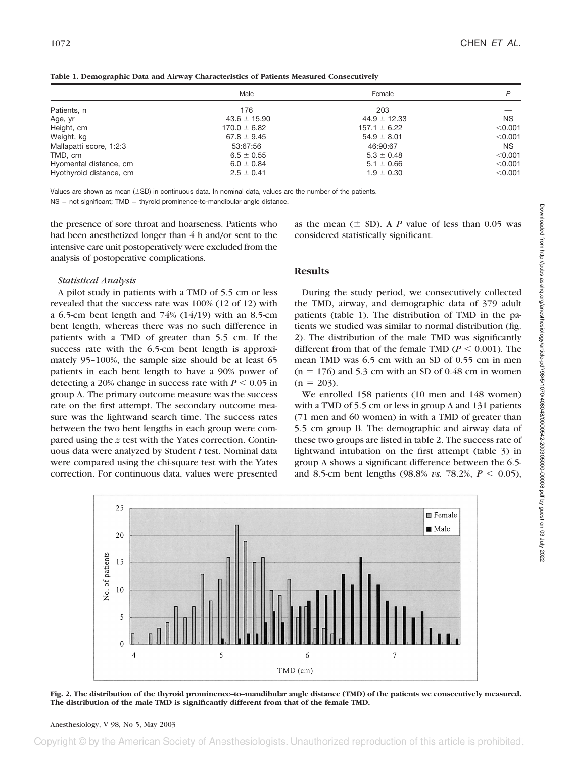|                         | Male             | Female           | P         |
|-------------------------|------------------|------------------|-----------|
| Patients, n             | 176              | 203              |           |
| Age, yr                 | $43.6 \pm 15.90$ | $44.9 \pm 12.33$ | <b>NS</b> |
| Height, cm              | $170.0 \pm 6.82$ | $157.1 \pm 6.22$ | < 0.001   |
| Weight, kg              | $67.8 \pm 9.45$  | $54.9 \pm 8.01$  | < 0.001   |
| Mallapatti score, 1:2:3 | 53:67:56         | 46:90:67         | NS.       |
| TMD, cm                 | $6.5 \pm 0.55$   | $5.3 \pm 0.48$   | < 0.001   |
| Hyomental distance, cm  | $6.0 \pm 0.84$   | $5.1 \pm 0.66$   | < 0.001   |
| Hyothyroid distance, cm | $2.5 \pm 0.41$   | $1.9 \pm 0.30$   | $<$ 0.001 |

**Table 1. Demographic Data and Airway Characteristics of Patients Measured Consecutively**

Values are shown as mean ( $\pm$ SD) in continuous data. In nominal data, values are the number of the patients.

 $NS = not$  significant; TMD = thyroid prominence-to-mandibular angle distance.

the presence of sore throat and hoarseness. Patients who had been anesthetized longer than 4 h and/or sent to the intensive care unit postoperatively were excluded from the analysis of postoperative complications.

#### *Statistical Analysis*

A pilot study in patients with a TMD of 5.5 cm or less revealed that the success rate was 100% (12 of 12) with a 6.5-cm bent length and 74% (14/19) with an 8.5-cm bent length, whereas there was no such difference in patients with a TMD of greater than 5.5 cm. If the success rate with the 6.5-cm bent length is approximately 95–100%, the sample size should be at least 65 patients in each bent length to have a 90% power of detecting a 20% change in success rate with  $P \le 0.05$  in group A. The primary outcome measure was the success rate on the first attempt. The secondary outcome measure was the lightwand search time. The success rates between the two bent lengths in each group were compared using the *z* test with the Yates correction. Continuous data were analyzed by Student *t* test. Nominal data were compared using the chi-square test with the Yates correction. For continuous data, values were presented

as the mean  $(\pm$  SD). A *P* value of less than 0.05 was considered statistically significant.

# **Results**

During the study period, we consecutively collected the TMD, airway, and demographic data of 379 adult patients (table 1). The distribution of TMD in the patients we studied was similar to normal distribution (fig. 2). The distribution of the male TMD was significantly different from that of the female TMD ( $P \le 0.001$ ). The mean TMD was 6.5 cm with an SD of 0.55 cm in men  $(n = 176)$  and 5.3 cm with an SD of 0.48 cm in women  $(n = 203)$ .

We enrolled 158 patients (10 men and 148 women) with a TMD of 5.5 cm or less in group A and 131 patients (71 men and 60 women) in with a TMD of greater than 5.5 cm group B. The demographic and airway data of these two groups are listed in table 2. The success rate of lightwand intubation on the first attempt (table 3) in group A shows a significant difference between the 6.5 and 8.5-cm bent lengths (98.8% *vs.* 78.2%,  $P < 0.05$ ),



**Fig. 2. The distribution of the thyroid prominence–to–mandibular angle distance (TMD) of the patients we consecutively measured. The distribution of the male TMD is significantly different from that of the female TMD.**

Downloaded from http://pubs.asahq.org/anesthesiology/article-pdf/98/5/1070/408048/0000542-200305000-00008.pdf by guest on 03 July 2022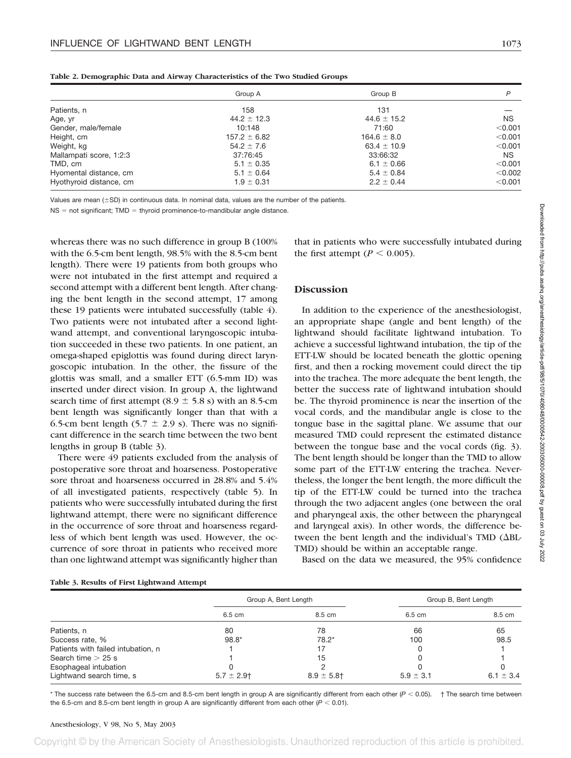|                         | Group A          | Group B         | P         |
|-------------------------|------------------|-----------------|-----------|
| Patients, n             | 158              | 131             |           |
| Age, yr                 | $44.2 \pm 12.3$  | $44.6 \pm 15.2$ | <b>NS</b> |
| Gender, male/female     | 10:148           | 71:60           | < 0.001   |
| Height, cm              | $157.2 \pm 6.82$ | $164.6 \pm 8.0$ | < 0.001   |
| Weight, kg              | $54.2 \pm 7.6$   | $63.4 \pm 10.9$ | < 0.001   |
| Mallampati score, 1:2:3 | 37:76:45         | 33:66:32        | NS.       |
| TMD, cm                 | $5.1 \pm 0.35$   | $6.1 \pm 0.66$  | < 0.001   |
| Hyomental distance, cm  | $5.1 \pm 0.64$   | $5.4 \pm 0.84$  | < 0.002   |
| Hyothyroid distance, cm | $1.9 \pm 0.31$   | $2.2 \pm 0.44$  | < 0.001   |

**Table 2. Demographic Data and Airway Characteristics of the Two Studied Groups**

Values are mean ( $\pm$ SD) in continuous data. In nominal data, values are the number of the patients.

 $NS = not significant; TMD = thyroid prominence-to-man dibular angle distance.$ 

whereas there was no such difference in group B (100% with the 6.5-cm bent length, 98.5% with the 8.5-cm bent length). There were 19 patients from both groups who were not intubated in the first attempt and required a second attempt with a different bent length. After changing the bent length in the second attempt, 17 among these 19 patients were intubated successfully (table 4). Two patients were not intubated after a second lightwand attempt, and conventional laryngoscopic intubation succeeded in these two patients. In one patient, an omega-shaped epiglottis was found during direct laryngoscopic intubation. In the other, the fissure of the glottis was small, and a smaller ETT (6.5-mm ID) was inserted under direct vision. In group A, the lightwand search time of first attempt  $(8.9 \pm 5.8 \text{ s})$  with an 8.5-cm bent length was significantly longer than that with a 6.5-cm bent length (5.7  $\pm$  2.9 s). There was no significant difference in the search time between the two bent lengths in group B (table 3).

There were 49 patients excluded from the analysis of postoperative sore throat and hoarseness. Postoperative sore throat and hoarseness occurred in 28.8% and 5.4% of all investigated patients, respectively (table 5). In patients who were successfully intubated during the first lightwand attempt, there were no significant difference in the occurrence of sore throat and hoarseness regardless of which bent length was used. However, the occurrence of sore throat in patients who received more than one lightwand attempt was significantly higher than

that in patients who were successfully intubated during the first attempt ( $P \le 0.005$ ).

## **Discussion**

In addition to the experience of the anesthesiologist, an appropriate shape (angle and bent length) of the lightwand should facilitate lightwand intubation. To achieve a successful lightwand intubation, the tip of the ETT-LW should be located beneath the glottic opening first, and then a rocking movement could direct the tip into the trachea. The more adequate the bent length, the better the success rate of lightwand intubation should be. The thyroid prominence is near the insertion of the vocal cords, and the mandibular angle is close to the tongue base in the sagittal plane. We assume that our measured TMD could represent the estimated distance between the tongue base and the vocal cords (fig. 3). The bent length should be longer than the TMD to allow some part of the ETT-LW entering the trachea. Nevertheless, the longer the bent length, the more difficult the tip of the ETT-LW could be turned into the trachea through the two adjacent angles (one between the oral and pharyngeal axis, the other between the pharyngeal and laryngeal axis). In other words, the difference between the bent length and the individual's TMD ( $\Delta BL$ -TMD) should be within an acceptable range.

Based on the data we measured, the 95% confidence

|                                    | Group A, Bent Length |                 | Group B, Bent Length |               |
|------------------------------------|----------------------|-----------------|----------------------|---------------|
|                                    | 6.5 cm               | 8.5 cm          | 6.5 cm               | 8.5 cm        |
| Patients, n                        | 80                   | 78              | 66                   | 65            |
| Success rate, %                    | $98.8*$              | $78.2*$         | 100                  | 98.5          |
| Patients with failed intubation, n |                      |                 |                      |               |
| Search time $>$ 25 s               |                      | 15              |                      |               |
| Esophageal intubation              |                      |                 |                      |               |
| Lightwand search time, s           | $5.7 \pm 2.9$ †      | $8.9 \pm 5.8$ † | $5.9 \pm 3.1$        | 6.1 $\pm$ 3.4 |

 $*$  The success rate between the 6.5-cm and 8.5-cm bent length in group A are significantly different from each other  $(P < 0.05)$ .  $\dagger$  The search time between the 6.5-cm and 8.5-cm bent length in group A are significantly different from each other  $(P < 0.01)$ .

#### Anesthesiology, V 98, No 5, May 2003

Copyright © by the American Society of Anesthesiologists. Unauthorized reproduction of this article is prohibited.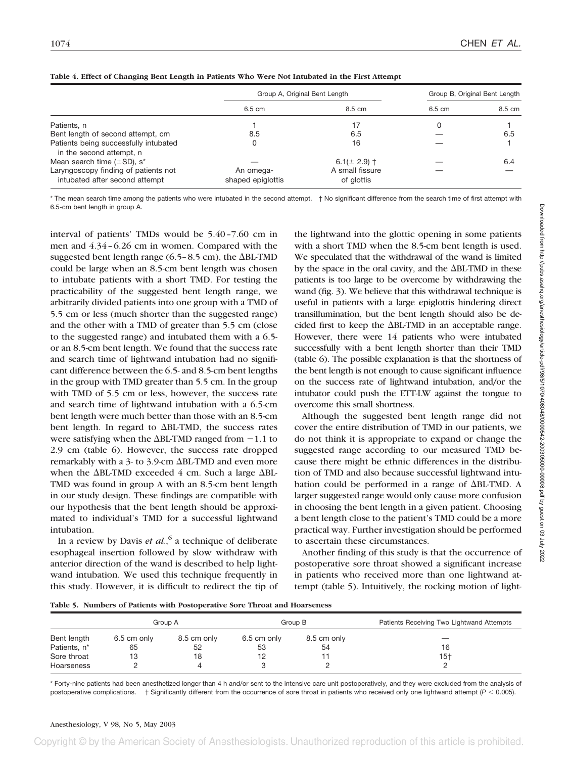|                                                                        | Group A, Original Bent Length  |                               | Group B, Original Bent Length |        |
|------------------------------------------------------------------------|--------------------------------|-------------------------------|-------------------------------|--------|
|                                                                        | 6.5 cm                         | 8.5 cm                        | 6.5 cm                        | 8.5 cm |
| Patients, n                                                            |                                |                               |                               |        |
| Bent length of second attempt, cm                                      | 8.5                            | 6.5                           |                               | 6.5    |
| Patients being successfully intubated<br>in the second attempt, n      | 0                              | 16                            |                               |        |
| Mean search time $(\pm SD)$ , s <sup>*</sup>                           |                                | 6.1( $\pm$ 2.9) $\dagger$     |                               | 6.4    |
| Laryngoscopy finding of patients not<br>intubated after second attempt | An omega-<br>shaped epiglottis | A small fissure<br>of glottis |                               |        |

| Table 4. Effect of Changing Bent Length in Patients Who Were Not Intubated in the First Attempt |  |
|-------------------------------------------------------------------------------------------------|--|
|-------------------------------------------------------------------------------------------------|--|

\* The mean search time among the patients who were intubated in the second attempt. † No significant difference from the search time of first attempt with 6.5-cm bent length in group A.

interval of patients' TMDs would be 5.40–7.60 cm in men and 4.34–6.26 cm in women. Compared with the suggested bent length range (6.5–8.5 cm), the  $\Delta BL-TMD$ could be large when an 8.5-cm bent length was chosen to intubate patients with a short TMD. For testing the practicability of the suggested bent length range, we arbitrarily divided patients into one group with a TMD of 5.5 cm or less (much shorter than the suggested range) and the other with a TMD of greater than 5.5 cm (close to the suggested range) and intubated them with a 6.5 or an 8.5-cm bent length. We found that the success rate and search time of lightwand intubation had no significant difference between the 6.5- and 8.5-cm bent lengths in the group with TMD greater than 5.5 cm. In the group with TMD of 5.5 cm or less, however, the success rate and search time of lightwand intubation with a 6.5-cm bent length were much better than those with an 8.5-cm bent length. In regard to  $\Delta BL-TMD$ , the success rates were satisfying when the  $\Delta$ BL-TMD ranged from  $-1.1$  to 2.9 cm (table 6). However, the success rate dropped remarkably with a 3- to 3.9-cm  $\Delta$ BL-TMD and even more when the  $\Delta$ BL-TMD exceeded 4 cm. Such a large  $\Delta$ BL-TMD was found in group A with an 8.5-cm bent length in our study design. These findings are compatible with our hypothesis that the bent length should be approximated to individual's TMD for a successful lightwand intubation.

In a review by Davis *et al.*, <sup>6</sup> a technique of deliberate esophageal insertion followed by slow withdraw with anterior direction of the wand is described to help lightwand intubation. We used this technique frequently in this study. However, it is difficult to redirect the tip of

the lightwand into the glottic opening in some patients with a short TMD when the 8.5-cm bent length is used. We speculated that the withdrawal of the wand is limited by the space in the oral cavity, and the  $\Delta BL\text{-}TMD$  in these patients is too large to be overcome by withdrawing the wand (fig. 3). We believe that this withdrawal technique is useful in patients with a large epiglottis hindering direct transillumination, but the bent length should also be decided first to keep the  $\Delta$ BL-TMD in an acceptable range. However, there were 14 patients who were intubated successfully with a bent length shorter than their TMD (table 6). The possible explanation is that the shortness of the bent length is not enough to cause significant influence on the success rate of lightwand intubation, and/or the intubator could push the ETT-LW against the tongue to overcome this small shortness.

Although the suggested bent length range did not cover the entire distribution of TMD in our patients, we do not think it is appropriate to expand or change the suggested range according to our measured TMD because there might be ethnic differences in the distribution of TMD and also because successful lightwand intubation could be performed in a range of  $\Delta BL-TMD$ . A larger suggested range would only cause more confusion in choosing the bent length in a given patient. Choosing a bent length close to the patient's TMD could be a more practical way. Further investigation should be performed to ascertain these circumstances.

Another finding of this study is that the occurrence of postoperative sore throat showed a significant increase in patients who received more than one lightwand attempt (table 5). Intuitively, the rocking motion of light-

|                          | Group A     |             | Group B     |             | Patients Receiving Two Lightwand Attempts |
|--------------------------|-------------|-------------|-------------|-------------|-------------------------------------------|
| Bent length              | 6.5 cm only | 8.5 cm only | 6.5 cm only | 8.5 cm only |                                           |
| Patients, n <sup>*</sup> | 65          | 52          | 53          | 54          | 16                                        |
| Sore throat              | 13          | 18          |             |             | 15†                                       |
| Hoarseness               |             |             |             |             |                                           |

\* Forty-nine patients had been anesthetized longer than 4 h and/or sent to the intensive care unit postoperatively, and they were excluded from the analysis of postoperative complications. † Significantly different from the occurrence of sore throat in patients who received only one lightwand attempt (*P* < 0.005).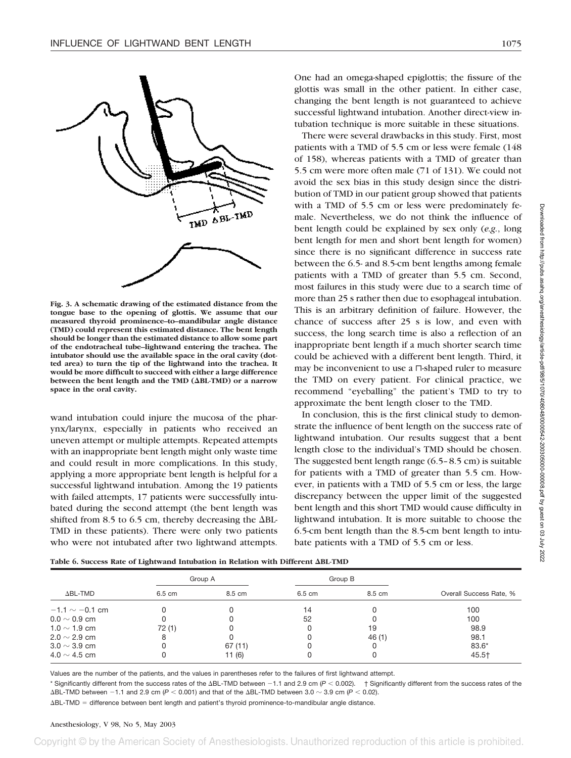

**Fig. 3. A schematic drawing of the estimated distance from the tongue base to the opening of glottis. We assume that our measured thyroid prominence–to–mandibular angle distance (TMD) could represent this estimated distance. The bent length should be longer than the estimated distance to allow some part of the endotracheal tube–lightwand entering the trachea. The intubator should use the available space in the oral cavity (dotted area) to turn the tip of the lightwand into the trachea. It would be more difficult to succeed with either a large difference** between the bent length and the TMD ( $\Delta$ BL-TMD) or a narrow **space in the oral cavity.**

wand intubation could injure the mucosa of the pharynx/larynx, especially in patients who received an uneven attempt or multiple attempts. Repeated attempts with an inappropriate bent length might only waste time and could result in more complications. In this study, applying a more appropriate bent length is helpful for a successful lightwand intubation. Among the 19 patients with failed attempts, 17 patients were successfully intubated during the second attempt (the bent length was shifted from 8.5 to 6.5 cm, thereby decreasing the  $\Delta BL$ -TMD in these patients). There were only two patients who were not intubated after two lightwand attempts. One had an omega-shaped epiglottis; the fissure of the glottis was small in the other patient. In either case, changing the bent length is not guaranteed to achieve successful lightwand intubation. Another direct-view intubation technique is more suitable in these situations.

There were several drawbacks in this study. First, most patients with a TMD of 5.5 cm or less were female (148 of 158), whereas patients with a TMD of greater than 5.5 cm were more often male (71 of 131). We could not avoid the sex bias in this study design since the distribution of TMD in our patient group showed that patients with a TMD of 5.5 cm or less were predominately female. Nevertheless, we do not think the influence of bent length could be explained by sex only (*e.g.*, long bent length for men and short bent length for women) since there is no significant difference in success rate between the 6.5- and 8.5-cm bent lengths among female patients with a TMD of greater than 5.5 cm. Second, most failures in this study were due to a search time of more than 25 s rather then due to esophageal intubation. This is an arbitrary definition of failure. However, the chance of success after 25 s is low, and even with success, the long search time is also a reflection of an inappropriate bent length if a much shorter search time could be achieved with a different bent length. Third, it may be inconvenient to use a  $\sqcap$ -shaped ruler to measure the TMD on every patient. For clinical practice, we recommend "eyeballing" the patient's TMD to try to approximate the bent length closer to the TMD.

In conclusion, this is the first clinical study to demonstrate the influence of bent length on the success rate of lightwand intubation. Our results suggest that a bent length close to the individual's TMD should be chosen. The suggested bent length range (6.5–8.5 cm) is suitable for patients with a TMD of greater than 5.5 cm. However, in patients with a TMD of 5.5 cm or less, the large discrepancy between the upper limit of the suggested bent length and this short TMD would cause difficulty in lightwand intubation. It is more suitable to choose the 6.5-cm bent length than the 8.5-cm bent length to intubate patients with a TMD of 5.5 cm or less.

|  |  | Table 6. Success Rate of Lightwand Intubation in Relation with Different ABL-TMD |  |  |
|--|--|----------------------------------------------------------------------------------|--|--|
|  |  |                                                                                  |  |  |

|                     |        | Group A |        | Group B |                         |
|---------------------|--------|---------|--------|---------|-------------------------|
| $\Delta$ BL-TMD     | 6.5 cm | 8.5 cm  | 6.5 cm | 8.5 cm  | Overall Success Rate, % |
| $-1.1 \sim -0.1$ cm |        |         | 14     |         | 100                     |
| $0.0 \sim 0.9$ cm   |        |         | 52     |         | 100                     |
| 1.0 $\sim$ 1.9 cm   | 72(1)  |         |        | 19      | 98.9                    |
| $2.0 \sim 2.9$ cm   | 8      |         |        | 46(1)   | 98.1                    |
| $3.0 \sim 3.9$ cm   |        | 67(11)  |        |         | $83.6*$                 |
| 4.0 $\sim$ 4.5 cm   |        | 11(6)   |        |         | 45.5†                   |

Values are the number of the patients, and the values in parentheses refer to the failures of first lightwand attempt.

\* Significantly different from the success rates of the ABL-TMD between -1.1 and 2.9 cm ( $P < 0.002$ ). † Significantly different from the success rates of the  $\Delta$ BL-TMD between -1.1 and 2.9 cm ( $P < 0.001$ ) and that of the  $\Delta$ BL-TMD between 3.0  $\sim$  3.9 cm ( $P < 0.02$ ).

ABL-TMD = difference between bent length and patient's thyroid prominence-to-mandibular angle distance.

#### Anesthesiology, V 98, No 5, May 2003